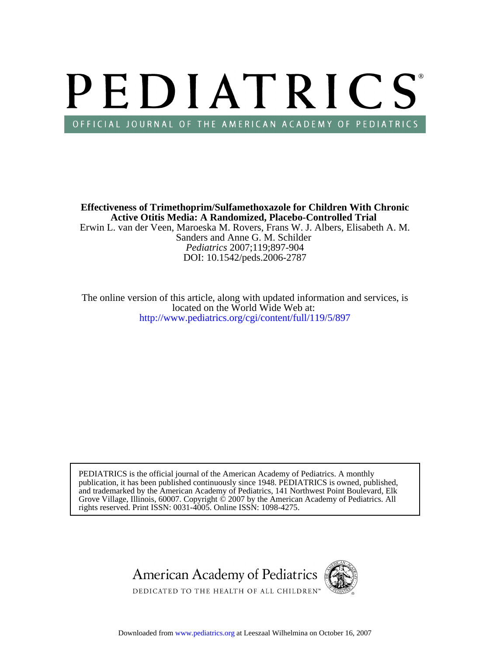# PEDIATRICS OFFICIAL JOURNAL OF THE AMERICAN ACADEMY OF PEDIATRICS

DOI: 10.1542/peds.2006-2787 *Pediatrics* 2007;119;897-904 Sanders and Anne G. M. Schilder Erwin L. van der Veen, Maroeska M. Rovers, Frans W. J. Albers, Elisabeth A. M. **Active Otitis Media: A Randomized, Placebo-Controlled Trial Effectiveness of Trimethoprim/Sulfamethoxazole for Children With Chronic**

<http://www.pediatrics.org/cgi/content/full/119/5/897> located on the World Wide Web at: The online version of this article, along with updated information and services, is

rights reserved. Print ISSN: 0031-4005. Online ISSN: 1098-4275. Grove Village, Illinois, 60007. Copyright  $\ddot{\odot}$  2007 by the American Academy of Pediatrics. All and trademarked by the American Academy of Pediatrics, 141 Northwest Point Boulevard, Elk publication, it has been published continuously since 1948. PEDIATRICS is owned, published, PEDIATRICS is the official journal of the American Academy of Pediatrics. A monthly

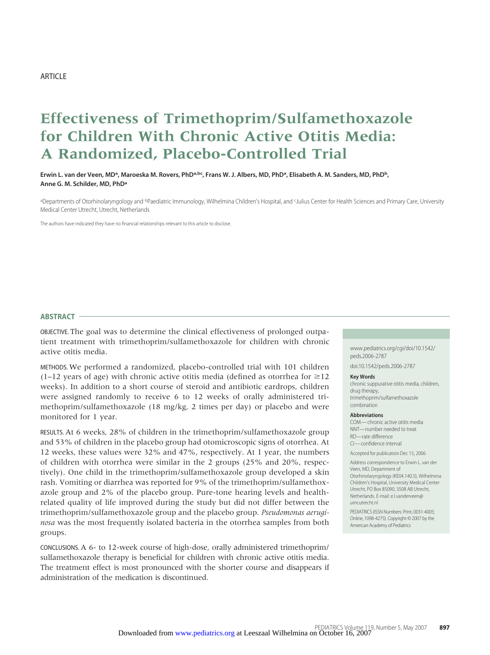# **Effectiveness of Trimethoprim/Sulfamethoxazole for Children With Chronic Active Otitis Media: A Randomized, Placebo-Controlled Trial**

Erwin L. van der Veen, MD<sup>a</sup>, Maroeska M. Rovers, PhD<sup>a,bc</sup>, Frans W. J. Albers, MD, PhD<sup>a</sup>, Elisabeth A. M. Sanders, MD, PhD<sup>b</sup>, **Anne G. M. Schilder, MD, PhDa**

aDepartments of Otorhinolaryngology and <sup>b</sup>Paediatric Immunology, Wilhelmina Children's Hospital, and <sup>c</sup>Julius Center for Health Sciences and Primary Care, University Medical Center Utrecht, Utrecht, Netherlands

The authors have indicated they have no financial relationships relevant to this article to disclose.

#### **ABSTRACT**

OBJECTIVE. The goal was to determine the clinical effectiveness of prolonged outpatient treatment with trimethoprim/sulfamethoxazole for children with chronic active otitis media.

METHODS. We performed a randomized, placebo-controlled trial with 101 children (1–12 years of age) with chronic active otitis media (defined as otorrhea for  $\geq$ 12 weeks). In addition to a short course of steroid and antibiotic eardrops, children were assigned randomly to receive 6 to 12 weeks of orally administered trimethoprim/sulfamethoxazole (18 mg/kg, 2 times per day) or placebo and were monitored for 1 year.

RESULTS. At 6 weeks, 28% of children in the trimethoprim/sulfamethoxazole group and 53% of children in the placebo group had otomicroscopic signs of otorrhea. At 12 weeks, these values were 32% and 47%, respectively. At 1 year, the numbers of children with otorrhea were similar in the 2 groups (25% and 20%, respectively). One child in the trimethoprim/sulfamethoxazole group developed a skin rash. Vomiting or diarrhea was reported for 9% of the trimethoprim/sulfamethoxazole group and 2% of the placebo group. Pure-tone hearing levels and healthrelated quality of life improved during the study but did not differ between the trimethoprim/sulfamethoxazole group and the placebo group. *Pseudomonas aeruginosa* was the most frequently isolated bacteria in the otorrhea samples from both groups.

CONCLUSIONS. A 6- to 12-week course of high-dose, orally administered trimethoprim/ sulfamethoxazole therapy is beneficial for children with chronic active otitis media. The treatment effect is most pronounced with the shorter course and disappears if administration of the medication is discontinued.

www.pediatrics.org/cgi/doi/10.1542/ peds.2006-2787

doi:10.1542/peds.2006-2787

#### **Key Words**

chronic suppurative otitis media, children, drug therapy, trimethoprim/sulfamethoxazole combination

#### **Abbreviations**

COM— chronic active otitis media NNT—number needed to treat RD—rate difference CI— confidence interval

Accepted for publication Dec 15, 2006

Address correspondence to Erwin L. van der Veen, MD, Department of Otorhinolaryngology (KE04.140.5), Wilhelmina Children's Hospital, University Medical Center Utrecht, PO Box 85090, 3508 AB Utrecht, Netherlands. E-mail: e.l.vanderveen@ umcutrecht.nl

PEDIATRICS (ISSN Numbers: Print, 0031-4005; Online, 1098-4275). Copyright © 2007 by the American Academy of Pediatrics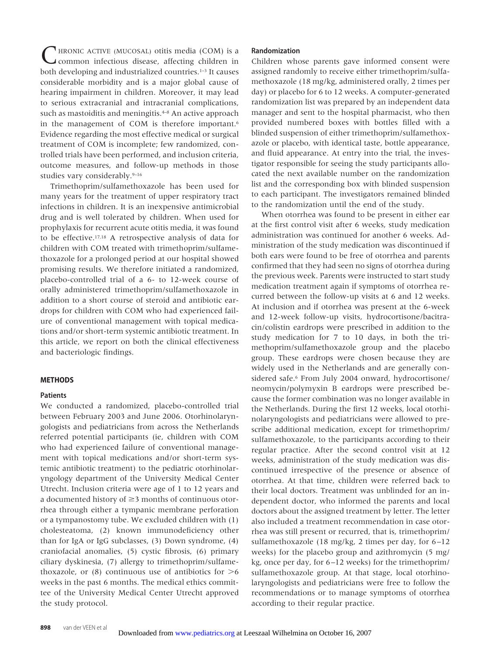IRONIC ACTIVE (MUCOSAL) otitis media (COM) is a common infectious disease, affecting children in both developing and industrialized countries.<sup>1-3</sup> It causes considerable morbidity and is a major global cause of hearing impairment in children. Moreover, it may lead to serious extracranial and intracranial complications, such as mastoiditis and meningitis.<sup>4-8</sup> An active approach in the management of COM is therefore important.<sup>6</sup> Evidence regarding the most effective medical or surgical treatment of COM is incomplete; few randomized, controlled trials have been performed, and inclusion criteria, outcome measures, and follow-up methods in those studies vary considerably.<sup>9-16</sup>

Trimethoprim/sulfamethoxazole has been used for many years for the treatment of upper respiratory tract infections in children. It is an inexpensive antimicrobial drug and is well tolerated by children. When used for prophylaxis for recurrent acute otitis media, it was found to be effective.17,18 A retrospective analysis of data for children with COM treated with trimethoprim/sulfamethoxazole for a prolonged period at our hospital showed promising results. We therefore initiated a randomized, placebo-controlled trial of a 6- to 12-week course of orally administered trimethoprim/sulfamethoxazole in addition to a short course of steroid and antibiotic eardrops for children with COM who had experienced failure of conventional management with topical medications and/or short-term systemic antibiotic treatment. In this article, we report on both the clinical effectiveness and bacteriologic findings.

# **METHODS**

# **Patients**

We conducted a randomized, placebo-controlled trial between February 2003 and June 2006. Otorhinolaryngologists and pediatricians from across the Netherlands referred potential participants (ie, children with COM who had experienced failure of conventional management with topical medications and/or short-term systemic antibiotic treatment) to the pediatric otorhinolaryngology department of the University Medical Center Utrecht. Inclusion criteria were age of 1 to 12 years and a documented history of  $\geq$ 3 months of continuous otorrhea through either a tympanic membrane perforation or a tympanostomy tube. We excluded children with (1) cholesteatoma, (2) known immunodeficiency other than for IgA or IgG subclasses, (3) Down syndrome, (4) craniofacial anomalies, (5) cystic fibrosis, (6) primary ciliary dyskinesia, (7) allergy to trimethoprim/sulfamethoxazole, or  $(8)$  continuous use of antibiotics for  $\geq 6$ weeks in the past 6 months. The medical ethics committee of the University Medical Center Utrecht approved the study protocol.

# **Randomization**

Children whose parents gave informed consent were assigned randomly to receive either trimethoprim/sulfamethoxazole (18 mg/kg, administered orally, 2 times per day) or placebo for 6 to 12 weeks. A computer-generated randomization list was prepared by an independent data manager and sent to the hospital pharmacist, who then provided numbered boxes with bottles filled with a blinded suspension of either trimethoprim/sulfamethoxazole or placebo, with identical taste, bottle appearance, and fluid appearance. At entry into the trial, the investigator responsible for seeing the study participants allocated the next available number on the randomization list and the corresponding box with blinded suspension to each participant. The investigators remained blinded to the randomization until the end of the study.

When otorrhea was found to be present in either ear at the first control visit after 6 weeks, study medication administration was continued for another 6 weeks. Administration of the study medication was discontinued if both ears were found to be free of otorrhea and parents confirmed that they had seen no signs of otorrhea during the previous week. Parents were instructed to start study medication treatment again if symptoms of otorrhea recurred between the follow-up visits at 6 and 12 weeks. At inclusion and if otorrhea was present at the 6-week and 12-week follow-up visits, hydrocortisone/bacitracin/colistin eardrops were prescribed in addition to the study medication for 7 to 10 days, in both the trimethoprim/sulfamethoxazole group and the placebo group. These eardrops were chosen because they are widely used in the Netherlands and are generally considered safe.<sup>6</sup> From July 2004 onward, hydrocortisone/ neomycin/polymyxin B eardrops were prescribed because the former combination was no longer available in the Netherlands. During the first 12 weeks, local otorhinolaryngologists and pediatricians were allowed to prescribe additional medication, except for trimethoprim/ sulfamethoxazole, to the participants according to their regular practice. After the second control visit at 12 weeks, administration of the study medication was discontinued irrespective of the presence or absence of otorrhea. At that time, children were referred back to their local doctors. Treatment was unblinded for an independent doctor, who informed the parents and local doctors about the assigned treatment by letter. The letter also included a treatment recommendation in case otorrhea was still present or recurred, that is, trimethoprim/ sulfamethoxazole (18 mg/kg, 2 times per day, for 6–12 weeks) for the placebo group and azithromycin (5 mg/ kg, once per day, for 6–12 weeks) for the trimethoprim/ sulfamethoxazole group. At that stage, local otorhinolaryngologists and pediatricians were free to follow the recommendations or to manage symptoms of otorrhea according to their regular practice.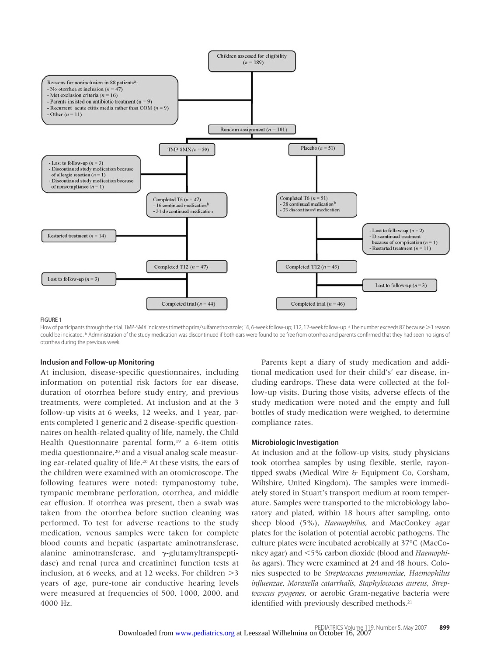

#### FIGURE 1

Flow of participants through the trial. TMP-SMX indicates trimethoprim/sulfamethoxazole; T6, 6-week follow-up; T12, 12-week follow-up. a The number exceeds 87 because >1 reason could be indicated. <sup>b</sup> Administration of the study medication was discontinued if both ears were found to be free from otorrhea and parents confirmed that they had seen no signs of otorrhea during the previous week.

#### **Inclusion and Follow-up Monitoring**

At inclusion, disease-specific questionnaires, including information on potential risk factors for ear disease, duration of otorrhea before study entry, and previous treatments, were completed. At inclusion and at the 3 follow-up visits at 6 weeks, 12 weeks, and 1 year, parents completed 1 generic and 2 disease-specific questionnaires on health-related quality of life, namely, the Child Health Questionnaire parental form,<sup>19</sup> a 6-item otitis media questionnaire,<sup>20</sup> and a visual analog scale measuring ear-related quality of life.20 At these visits, the ears of the children were examined with an otomicroscope. The following features were noted: tympanostomy tube, tympanic membrane perforation, otorrhea, and middle ear effusion. If otorrhea was present, then a swab was taken from the otorrhea before suction cleaning was performed. To test for adverse reactions to the study medication, venous samples were taken for complete blood counts and hepatic (aspartate aminotransferase, alanine aminotransferase, and  $\gamma$ -glutamyltranspeptidase) and renal (urea and creatinine) function tests at inclusion, at 6 weeks, and at 12 weeks. For children  $>3$ years of age, pure-tone air conductive hearing levels were measured at frequencies of 500, 1000, 2000, and 4000 Hz.

Parents kept a diary of study medication and additional medication used for their child's' ear disease, including eardrops. These data were collected at the follow-up visits. During those visits, adverse effects of the study medication were noted and the empty and full bottles of study medication were weighed, to determine compliance rates.

#### **Microbiologic Investigation**

At inclusion and at the follow-up visits, study physicians took otorrhea samples by using flexible, sterile, rayontipped swabs (Medical Wire & Equipment Co, Corsham, Wiltshire, United Kingdom). The samples were immediately stored in Stuart's transport medium at room temperature. Samples were transported to the microbiology laboratory and plated, within 18 hours after sampling, onto sheep blood (5%), *Haemophilus*, and MacConkey agar plates for the isolation of potential aerobic pathogens. The culture plates were incubated aerobically at 37°C (MacConkey agar) and <5% carbon dioxide (blood and *Haemophilus* agars). They were examined at 24 and 48 hours. Colonies suspected to be *Streptococcus pneumoniae*, *Haemophilus influenzae*, *Moraxella catarrhalis*, *Staphylococcus aureus*, *Streptococcus pyogenes*, or aerobic Gram-negative bacteria were identified with previously described methods.<sup>21</sup>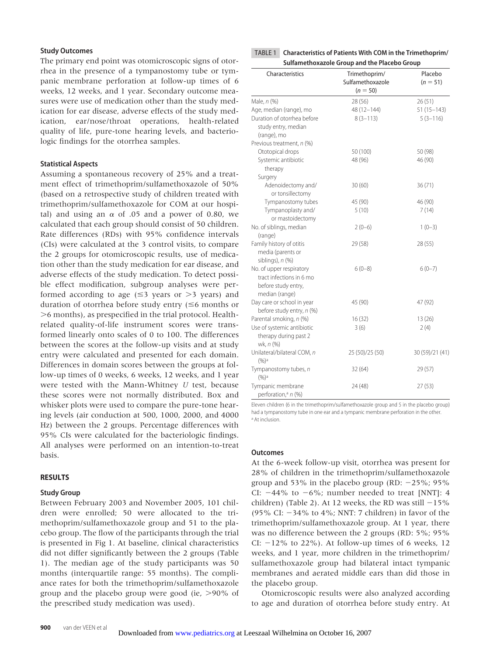# **Study Outcomes**

The primary end point was otomicroscopic signs of otorrhea in the presence of a tympanostomy tube or tympanic membrane perforation at follow-up times of 6 weeks, 12 weeks, and 1 year. Secondary outcome measures were use of medication other than the study medication for ear disease, adverse effects of the study medication, ear/nose/throat operations, health-related quality of life, pure-tone hearing levels, and bacteriologic findings for the otorrhea samples.

# **Statistical Aspects**

Assuming a spontaneous recovery of 25% and a treatment effect of trimethoprim/sulfamethoxazole of 50% (based on a retrospective study of children treated with trimethoprim/sulfamethoxazole for COM at our hospital) and using an  $\alpha$  of .05 and a power of 0.80, we calculated that each group should consist of 50 children. Rate differences (RDs) with 95% confidence intervals (CIs) were calculated at the 3 control visits, to compare the 2 groups for otomicroscopic results, use of medication other than the study medication for ear disease, and adverse effects of the study medication. To detect possible effect modification, subgroup analyses were performed according to age  $(\leq 3$  years or  $> 3$  years) and duration of otorrhea before study entry  $(\leq 6$  months or 6 months), as prespecified in the trial protocol. Healthrelated quality-of-life instrument scores were transformed linearly onto scales of 0 to 100. The differences between the scores at the follow-up visits and at study entry were calculated and presented for each domain. Differences in domain scores between the groups at follow-up times of 0 weeks, 6 weeks, 12 weeks, and 1 year were tested with the Mann-Whitney *U* test, because these scores were not normally distributed. Box and whisker plots were used to compare the pure-tone hearing levels (air conduction at 500, 1000, 2000, and 4000 Hz) between the 2 groups. Percentage differences with 95% CIs were calculated for the bacteriologic findings. All analyses were performed on an intention-to-treat basis.

#### **RESULTS**

#### **Study Group**

Between February 2003 and November 2005, 101 children were enrolled; 50 were allocated to the trimethoprim/sulfamethoxazole group and 51 to the placebo group. The flow of the participants through the trial is presented in Fig 1. At baseline, clinical characteristics did not differ significantly between the 2 groups (Table 1). The median age of the study participants was 50 months (interquartile range: 55 months). The compliance rates for both the trimethoprim/sulfamethoxazole group and the placebo group were good (ie,  $>90\%$  of the prescribed study medication was used).

TABLE 1 **Characteristics of Patients With COM in the Trimethoprim/ Sulfamethoxazole Group and the Placebo Group**

| Characteristics                                      | Trimethoprim/<br>Sulfamethoxazole<br>$(n = 50)$ | Placebo<br>$(n = 51)$ |
|------------------------------------------------------|-------------------------------------------------|-----------------------|
| Male, n (%)                                          | 28 (56)                                         | 26(51)                |
| Age, median (range), mo                              | 48 (12-144)                                     | $51(15 - 143)$        |
| Duration of otorrhea before                          | $8(3 - 113)$                                    | $5(3-116)$            |
| study entry, median                                  |                                                 |                       |
| (range), mo                                          |                                                 |                       |
| Previous treatment, n (%)                            |                                                 |                       |
| Ototopical drops                                     | 50 (100)                                        | 50 (98)               |
| Systemic antibiotic                                  | 48 (96)                                         | 46 (90)               |
| therapy                                              |                                                 |                       |
| Surgery                                              |                                                 |                       |
| Adenoidectomy and/<br>or tonsillectomy               | 30(60)                                          | 36(71)                |
| Tympanostomy tubes                                   | 45 (90)                                         | 46 (90)               |
| Tympanoplasty and/                                   | 5(10)                                           | 7(14)                 |
| or mastoidectomy                                     |                                                 |                       |
| No. of siblings, median                              | $2(0-6)$                                        | $1(0-3)$              |
| (range)                                              |                                                 |                       |
| Family history of otitis                             | 29 (58)                                         | 28 (55)               |
| media (parents or                                    |                                                 |                       |
| siblings), $n$ (%)                                   |                                                 |                       |
| No. of upper respiratory                             | $6(0-8)$                                        | $6(0-7)$              |
| tract infections in 6 mo                             |                                                 |                       |
| before study entry,                                  |                                                 |                       |
| median (range)                                       |                                                 |                       |
| Day care or school in year                           | 45 (90)                                         | 47 (92)               |
| before study entry, n (%)                            |                                                 |                       |
| Parental smoking, n (%)                              | 16(32)                                          | 13(26)                |
| Use of systemic antibiotic                           | 3(6)                                            | 2(4)                  |
| therapy during past 2<br>wk, n (%)                   |                                                 |                       |
| Unilateral/bilateral COM, n<br>$(%)^a$               | 25 (50)/25 (50)                                 | 30 (59)/21 (41)       |
| Tympanostomy tubes, n<br>$(9/6)$ <sup>a</sup>        | 32(64)                                          | 29 (57)               |
| Tympanic membrane<br>perforation, <sup>a</sup> n (%) | 24 (48)                                         | 27(53)                |

Eleven children (6 in the trimethoprim/sulfamethoxazole group and 5 in the placebo group) had a tympanostomy tube in one ear and a tympanic membrane perforation in the other. a At inclusion.

#### **Outcomes**

At the 6-week follow-up visit, otorrhea was present for 28% of children in the trimethoprim/sulfamethoxazole group and 53% in the placebo group (RD:  $-25\%$ ; 95% CI:  $-44\%$  to  $-6\%$ ; number needed to treat [NNT]: 4 children) (Table 2). At 12 weeks, the RD was still  $-15%$ (95% CI:  $-34\%$  to 4%; NNT: 7 children) in favor of the trimethoprim/sulfamethoxazole group. At 1 year, there was no difference between the 2 groups (RD: 5%; 95% CI:  $-12\%$  to 22%). At follow-up times of 6 weeks, 12 weeks, and 1 year, more children in the trimethoprim/ sulfamethoxazole group had bilateral intact tympanic membranes and aerated middle ears than did those in the placebo group.

Otomicroscopic results were also analyzed according to age and duration of otorrhea before study entry. At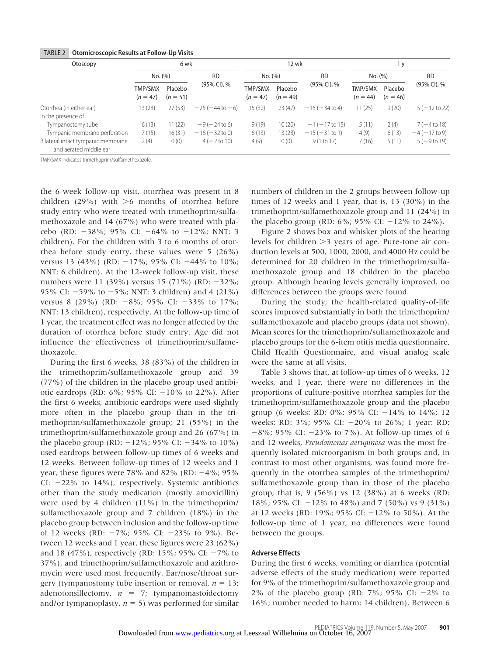| Otoscopy                                                     |                       | 6 wk                  |                     |                       | 12 wk                 |                     |                       | 1 y                   |                         |
|--------------------------------------------------------------|-----------------------|-----------------------|---------------------|-----------------------|-----------------------|---------------------|-----------------------|-----------------------|-------------------------|
|                                                              | No. (%)               |                       | <b>RD</b>           | No. (%)               |                       | <b>RD</b>           | No. (%)               |                       | <b>RD</b>               |
|                                                              | TMP/SMX<br>$(n = 47)$ | Placebo<br>$(n = 51)$ | (95% CI), %         | TMP/SMX<br>$(n = 47)$ | Placebo<br>$(n = 49)$ | (95% CI), %         | TMP/SMX<br>$(n = 44)$ | Placebo<br>$(n = 46)$ | (95% CI), %             |
| Otorrhea (in either ear)                                     | 13(28)                | 27(53)                | $-25(-44$ to $-6$ ) | 15(32)                | 23(47)                | $-15(-34$ to 4)     | 11(25)                | 9(20)                 | $5(-12 \text{ to } 22)$ |
| In the presence of                                           |                       |                       |                     |                       |                       |                     |                       |                       |                         |
| Tympanostomy tube                                            | 6(13)                 | 11(22)                | $-9(-24t)$          | 9(19)                 | 10(20)                | $-1$ ( $-17$ to 15) | 5(11)                 | 2(4)                  | $7(-4t018)$             |
| Tympanic membrane perforation                                | 7(15)                 | 16(31)                | $-16 (-32 to 0)$    | 6(13)                 | 13(28)                | $-15(-31$ to 1)     | 4(9)                  | 6(13)                 | $-4(-17 \text{ to } 9)$ |
| Bilateral intact tympanic membrane<br>and aerated middle ear | 2(4)                  | 0(0)                  | $4(-2 to 10)$       | 4(9)                  | 0(0)                  | 9(1 to 17)          | 7(16)                 | 5(11)                 | $5(-9t019)$             |

# TABLE 2 **Otomicroscopic Results at Follow-Up Visits**

TMP/SMX indicates trimethoprim/sulfamethoxazole.

the 6-week follow-up visit, otorrhea was present in 8 children (29%) with  $>6$  months of otorrhea before study entry who were treated with trimethoprim/sulfamethoxazole and 14 (67%) who were treated with placebo (RD:  $-38\%$ ; 95% CI:  $-64\%$  to  $-12\%$ ; NNT: 3 children). For the children with 3 to 6 months of otorrhea before study entry, these values were 5 (26%) versus 13 (43%) (RD:  $-17\%$ ; 95% CI:  $-44\%$  to 10%; NNT: 6 children). At the 12-week follow-up visit, these numbers were 11 (39%) versus 15 (71%) (RD:  $-32\%$ ; 95% CI:  $-59%$  to  $-5%$ ; NNT: 3 children) and 4 (21%) versus 8 (29%) (RD:  $-8\%$ ; 95% CI:  $-33\%$  to 17%; NNT: 13 children), respectively. At the follow-up time of 1 year, the treatment effect was no longer affected by the duration of otorrhea before study entry. Age did not influence the effectiveness of trimethoprim/sulfamethoxazole.

During the first 6 weeks, 38 (83%) of the children in the trimethoprim/sulfamethoxazole group and 39 (77%) of the children in the placebo group used antibiotic eardrops (RD:  $6\%$ ;  $95\%$  CI:  $-10\%$  to 22%). After the first 6 weeks, antibiotic eardrops were used slightly more often in the placebo group than in the trimethoprim/sulfamethoxazole group; 21 (55%) in the trimethoprim/sulfamethoxazole group and 26 (67%) in the placebo group (RD:  $-12\%$ ; 95% CI:  $-34\%$  to 10%) used eardrops between follow-up times of 6 weeks and 12 weeks. Between follow-up times of 12 weeks and 1 year, these figures were 78% and 82% (RD:  $-4\%$ ; 95% CI:  $-22\%$  to 14%), respectively. Systemic antibiotics other than the study medication (mostly amoxicillin) were used by 4 children (11%) in the trimethoprim/ sulfamethoxazole group and 7 children (18%) in the placebo group between inclusion and the follow-up time of 12 weeks (RD:  $-7\%$ ; 95% CI:  $-23\%$  to 9%). Between 12 weeks and 1 year, these figures were 23 (62%) and 18 (47%), respectively (RD: 15%; 95% CI:  $-7\%$  to 37%), and trimethoprim/sulfamethoxazole and azithromycin were used most frequently. Ear/nose/throat surgery (tympanostomy tube insertion or removal,  $n = 13$ ; adenotonsillectomy,  $n = 7$ ; tympanomastoidectomy and/or tympanoplasty,  $n = 5$ ) was performed for similar

numbers of children in the 2 groups between follow-up times of 12 weeks and 1 year, that is, 13 (30%) in the trimethoprim/sulfamethoxazole group and 11 (24%) in the placebo group (RD:  $6\%$ ;  $95\%$  CI:  $-12\%$  to  $24\%$ ).

Figure 2 shows box and whisker plots of the hearing levels for children  $>3$  years of age. Pure-tone air conduction levels at 500, 1000, 2000, and 4000 Hz could be determined for 20 children in the trimethoprim/sulfamethoxazole group and 18 children in the placebo group. Although hearing levels generally improved, no differences between the groups were found.

During the study, the health-related quality-of-life scores improved substantially in both the trimethoprim/ sulfamethoxazole and placebo groups (data not shown). Mean scores for the trimethoprim/sulfamethoxazole and placebo groups for the 6-item otitis media questionnaire, Child Health Questionnaire, and visual analog scale were the same at all visits.

Table 3 shows that, at follow-up times of 6 weeks, 12 weeks, and 1 year, there were no differences in the proportions of culture-positive otorrhea samples for the trimethoprim/sulfamethoxazole group and the placebo group (6 weeks: RD:  $0\%$ ; 95% CI:  $-14\%$  to  $14\%$ ; 12 weeks: RD: 3%; 95% CI: 20% to 26%; 1 year: RD:  $-8\%$ ; 95% CI:  $-23\%$  to 7%). At follow-up times of 6 and 12 weeks, *Pseudomonas aeruginosa* was the most frequently isolated microorganism in both groups and, in contrast to most other organisms, was found more frequently in the otorrhea samples of the trimethoprim/ sulfamethoxazole group than in those of the placebo group, that is, 9 (56%) vs 12 (38%) at 6 weeks (RD: 18%; 95% CI: 12% to 48%) and 7 (50%) vs 9 (31%) at 12 weeks (RD: 19%; 95% CI:  $-12$ % to 50%). At the follow-up time of 1 year, no differences were found between the groups.

# **Adverse Effects**

During the first 6 weeks, vomiting or diarrhea (potential adverse effects of the study medication) were reported for 9% of the trimethoprim/sulfamethoxazole group and 2% of the placebo group (RD:  $7\%$ ; 95% CI:  $-2\%$  to 16%; number needed to harm: 14 children). Between 6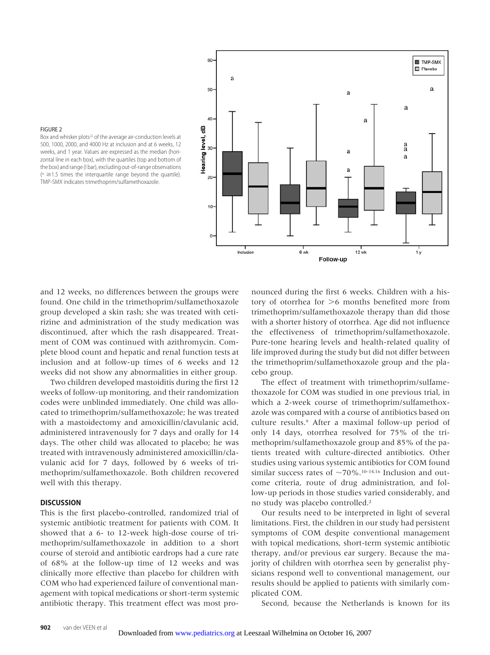

# FIGURE 2

Box and whisker plots<sup>22</sup> of the average air-conduction levels at 500, 1000, 2000, and 4000 Hz at inclusion and at 6 weeks, 12 weeks, and 1 year. Values are expressed as the median (horizontal line in each box), with the quartiles (top and bottom of the box) and range (I bar), excluding out-of-range observations  $(2^{n} \geq 1.5)$  times the interquartile range beyond the quartile). TMP-SMX indicates trimethoprim/sulfamethoxazole.

and 12 weeks, no differences between the groups were found. One child in the trimethoprim/sulfamethoxazole group developed a skin rash; she was treated with cetirizine and administration of the study medication was discontinued, after which the rash disappeared. Treatment of COM was continued with azithromycin. Complete blood count and hepatic and renal function tests at inclusion and at follow-up times of 6 weeks and 12 weeks did not show any abnormalities in either group.

Two children developed mastoiditis during the first 12 weeks of follow-up monitoring, and their randomization codes were unblinded immediately. One child was allocated to trimethoprim/sulfamethoxazole; he was treated with a mastoidectomy and amoxicillin/clavulanic acid, administered intravenously for 7 days and orally for 14 days. The other child was allocated to placebo; he was treated with intravenously administered amoxicillin/clavulanic acid for 7 days, followed by 6 weeks of trimethoprim/sulfamethoxazole. Both children recovered well with this therapy.

# **DISCUSSION**

This is the first placebo-controlled, randomized trial of systemic antibiotic treatment for patients with COM. It showed that a 6- to 12-week high-dose course of trimethoprim/sulfamethoxazole in addition to a short course of steroid and antibiotic eardrops had a cure rate of 68% at the follow-up time of 12 weeks and was clinically more effective than placebo for children with COM who had experienced failure of conventional management with topical medications or short-term systemic antibiotic therapy. This treatment effect was most pronounced during the first 6 weeks. Children with a history of otorrhea for  $>6$  months benefited more from trimethoprim/sulfamethoxazole therapy than did those with a shorter history of otorrhea. Age did not influence the effectiveness of trimethoprim/sulfamethoxazole. Pure-tone hearing levels and health-related quality of life improved during the study but did not differ between the trimethoprim/sulfamethoxazole group and the placebo group.

The effect of treatment with trimethoprim/sulfamethoxazole for COM was studied in one previous trial, in which a 2-week course of trimethoprim/sulfamethoxazole was compared with a course of antibiotics based on culture results.9 After a maximal follow-up period of only 14 days, otorrhea resolved for 75% of the trimethoprim/sulfamethoxazole group and 85% of the patients treated with culture-directed antibiotics. Other studies using various systemic antibiotics for COM found similar success rates of  $\sim$ 70%.<sup>10–14,16</sup> Inclusion and outcome criteria, route of drug administration, and follow-up periods in those studies varied considerably, and no study was placebo controlled.2

Our results need to be interpreted in light of several limitations. First, the children in our study had persistent symptoms of COM despite conventional management with topical medications, short-term systemic antibiotic therapy, and/or previous ear surgery. Because the majority of children with otorrhea seen by generalist physicians respond well to conventional management, our results should be applied to patients with similarly complicated COM.

Second, because the Netherlands is known for its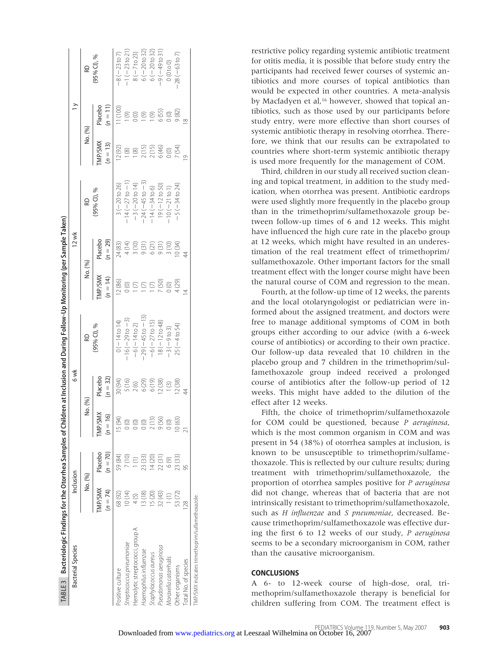| TABLE3 Bacteriologic Findings for the Otorrhea Samples of Children at Inclusion and During Follow-Up Monitoring (per Sample Taken) |                              |                       |                                     |                       |                          |                      |                     |                           |                         |                                     |                          |
|------------------------------------------------------------------------------------------------------------------------------------|------------------------------|-----------------------|-------------------------------------|-----------------------|--------------------------|----------------------|---------------------|---------------------------|-------------------------|-------------------------------------|--------------------------|
| Bacterial Species                                                                                                                  | Inclusion                    |                       |                                     | 6 wk                  |                          |                      | 12 wk               |                           |                         | $\geq$                              |                          |
|                                                                                                                                    | No. (%)                      |                       | No. (%)                             |                       | RD                       | No. (%)              |                     | æ                         | No. (%)                 |                                     | æ                        |
|                                                                                                                                    | <b>TMP/SMX</b><br>$(n = 74)$ | $(n = 70)$<br>Placebo | TMP/SMX<br>16)<br>$=$ $\frac{1}{2}$ | Placebo<br>$(n = 32)$ | 95% CI), %               | MP/SMX<br>$(n = 14)$ | acebo<br>$(n = 29)$ | (95% CI), %               | MP/SMX<br>$(n = 13)$    | Placebo<br>$(n = 11)$               | 95% Cl), %               |
| Positive culture                                                                                                                   | 68(92)                       | 59 (84)               | 15 (94)                             | 30 (94)               | $0(-14t014)$             | 12(86)               | 24(83)              | $3(-20 to 26)$            | 12(92)                  | 1(100)                              | $-8(-23 \text{ to } 7)$  |
| treptococcus pneumoniae                                                                                                            | 10(14)                       | 7(10)                 |                                     | 5 (16)                | $-16(-29$ to $-3)$       | D(0)                 |                     | $-14(-27 \text{ to } -1)$ | (8)                     | (9)                                 | $-1(-23 \text{ to } 21)$ |
| Hemolytic streptococci, group A                                                                                                    |                              |                       |                                     |                       | $-6(-14$ to 2)           | $\odot$              |                     | $-3(-20 to 14)$           | (8)                     |                                     | $8(-7 to 23)$            |
| Haemophilus influenzae                                                                                                             | 3(18)                        | 23 (33)               |                                     | $2(6)$<br>6(29)       | $-29(-45$ to $-13)$      | $\odot$              |                     | $-24(-45$ to $-3)$        |                         | 0(0)                                | $6(-20$ to 32)           |
| Staphylococcus aureus                                                                                                              | 5(20)                        | 14(20)                | 2(1)                                | 6(19)                 | $-6(-27 to 15)$          | $\mid$ (7)           |                     | $-14 (-34 to 6)$          | 2(15)<br>2(15)<br>6(46) |                                     | $6(-20 to 32)$           |
| pseudomonas aeruginosa                                                                                                             | 32 (43)                      | 22(31)                | 9(56)                               | 12(38)                | $18(-12 \text{ to } 48)$ | 7(50)                |                     | $19(-12 \text{ to } 50)$  |                         | $\frac{19}{650}$<br>$\frac{65}{60}$ | $-9(-49t031)$            |
| Moraxella catarrhalis                                                                                                              |                              | 6(9)                  | $\circ$                             | 1(3)                  | $-3(-9t03)$              | 0(0)                 |                     | $10(-21 to 1)$            |                         |                                     | 0(0 to 0)                |
| Other organisms                                                                                                                    | 53 (72)                      | 23 (33)               | 10(63)                              | 12(38)                | $25(-4 to 54)$           | (62)                 |                     | $-5(-34 to 24)$           | $0(0)$<br>$7(54)$       |                                     | $28(-63 to 7)$           |
| otal No. of species                                                                                                                |                              |                       |                                     |                       |                          |                      |                     |                           |                         |                                     |                          |
| TMP/SMX indicates trimethoprim/sulfamethoxazole.                                                                                   |                              |                       |                                     |                       |                          |                      |                     |                           |                         |                                     |                          |

restrictive policy regarding systemic antibiotic treatment for otitis media, it is possible that before study entry the participants had received fewer courses of systemic antibiotics and more courses of topical antibiotics than would be expected in other countries. A meta-analysis by Macfadyen et al,<sup>16</sup> however, showed that topical antibiotics, such as those used by our participants before study entry, were more effective than short courses of systemic antibiotic therapy in resolving otorrhea. Therefore, we think that our results can be extrapolated to countries where short-term systemic antibiotic therapy is used more frequently for the management of COM.

Third, children in our study all received suction cleaning and topical treatment, in addition to the study medication, when otorrhea was present. Antibiotic eardrops were used slightly more frequently in the placebo group than in the trimethoprim/sulfamethoxazole group between follow-up times of 6 and 12 weeks. This might have influenced the high cure rate in the placebo group at 12 weeks, which might have resulted in an underestimation of the real treatment effect of trimethoprim/ sulfamethoxazole. Other important factors for the small treatment effect with the longer course might have been the natural course of COM and regression to the mean.

Fourth, at the follow-up time of 12 weeks, the parents and the local otolaryngologist or pediatrician were informed about the assigned treatment, and doctors were free to manage additional symptoms of COM in both groups either according to our advice (with a 6-week course of antibiotics) or according to their own practice. Our follow-up data revealed that 10 children in the placebo group and 7 children in the trimethoprim/sulfamethoxazole group indeed received a prolonged course of antibiotics after the follow-up period of 12 weeks. This might have added to the dilution of the effect after 12 weeks.

Fifth, the choice of trimethoprim/sulfamethoxazole for COM could be questioned, because *P aeruginosa*, which is the most common organism in COM and was present in 54 (38%) of otorrhea samples at inclusion, is known to be unsusceptible to trimethoprim/sulfamethoxazole. This is reflected by our culture results; during treatment with trimethoprim/sulfamethoxazole, the proportion of otorrhea samples positive for *P aeruginosa* did not change, whereas that of bacteria that are not intrinsically resistant to trimethoprim/sulfamethoxazole, such as *H influenzae* and *S pneumoniae*, decreased. Because trimethoprim/sulfamethoxazole was effective during the first 6 to 12 weeks of our study, *P aeruginosa* seems to be a secondary microorganism in COM, rather than the causative microorganism.

# **CONCLUSIONS**

A 6- to 12-week course of high-dose, oral, trimethoprim/sulfamethoxazole therapy is beneficial for children suffering from COM. The treatment effect is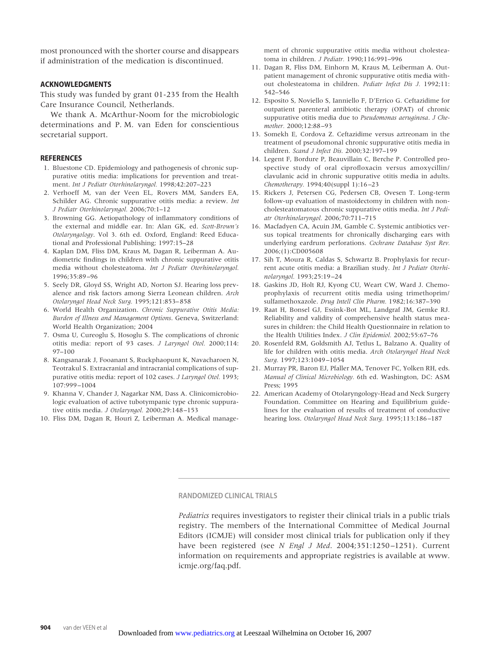most pronounced with the shorter course and disappears if administration of the medication is discontinued.

# **ACKNOWLEDGMENTS**

This study was funded by grant 01-235 from the Health Care Insurance Council, Netherlands.

We thank A. McArthur-Noom for the microbiologic determinations and P. M. van Eden for conscientious secretarial support.

## **REFERENCES**

- 1. Bluestone CD. Epidemiology and pathogenesis of chronic suppurative otitis media: implications for prevention and treatment. *Int J Pediatr Otorhinolaryngol.* 1998;42:207–223
- 2. Verhoeff M, van der Veen EL, Rovers MM, Sanders EA, Schilder AG. Chronic suppurative otitis media: a review. *Int J Pediatr Otorhinolaryngol.* 2006;70:1–12
- 3. Browning GG. Aetiopathology of inflammatory conditions of the external and middle ear. In: Alan GK, ed. *Scott-Brown's Otolaryngology*. Vol 3. 6th ed. Oxford, England: Reed Educational and Professional Publishing; 1997:15–28
- 4. Kaplan DM, Fliss DM, Kraus M, Dagan R, Leiberman A. Audiometric findings in children with chronic suppurative otitis media without cholesteatoma. *Int J Pediatr Otorhinolaryngol.* 1996;35:89–96
- 5. Seely DR, Gloyd SS, Wright AD, Norton SJ. Hearing loss prevalence and risk factors among Sierra Leonean children. *Arch Otolaryngol Head Neck Surg.* 1995;121:853–858
- 6. World Health Organization. *Chronic Suppurative Otitis Media: Burden of Illness and Management Options*. Geneva, Switzerland: World Health Organization; 2004
- 7. Osma U, Cureoglu S, Hosoglu S. The complications of chronic otitis media: report of 93 cases. *J Laryngol Otol.* 2000;114: 97–100
- 8. Kangsanarak J, Fooanant S, Ruckphaopunt K, Navacharoen N, Teotrakul S. Extracranial and intracranial complications of suppurative otitis media: report of 102 cases. *J Laryngol Otol.* 1993; 107:999–1004
- 9. Khanna V, Chander J, Nagarkar NM, Dass A. Clinicomicrobiologic evaluation of active tubotympanic type chronic suppurative otitis media. *J Otolaryngol.* 2000;29:148–153
- 10. Fliss DM, Dagan R, Houri Z, Leiberman A. Medical manage-

ment of chronic suppurative otitis media without cholesteatoma in children. *J Pediatr.* 1990;116:991–996

- 11. Dagan R, Fliss DM, Einhorn M, Kraus M, Leiberman A. Outpatient management of chronic suppurative otitis media without cholesteatoma in children. *Pediatr Infect Dis J.* 1992;11: 542–546
- 12. Esposito S, Noviello S, Ianniello F, D'Errico G. Ceftazidime for outpatient parenteral antibiotic therapy (OPAT) of chronic suppurative otitis media due to *Pseudomonas aeruginosa*. *J Chemother.* 2000;12:88–93
- 13. Somekh E, Cordova Z. Ceftazidime versus aztreonam in the treatment of pseudomonal chronic suppurative otitis media in children. *Scand J Infect Dis.* 2000;32:197–199
- 14. Legent F, Bordure P, Beauvillain C, Berche P. Controlled prospective study of oral ciprofloxacin versus amoxycillin/ clavulanic acid in chronic suppurative otitis media in adults. *Chemotherapy.* 1994;40(suppl 1):16–23
- 15. Rickers J, Petersen CG, Pedersen CB, Ovesen T. Long-term follow-up evaluation of mastoidectomy in children with noncholesteatomatous chronic suppurative otitis media. *Int J Pediatr Otorhinolaryngol.* 2006;70:711–715
- 16. Macfadyen CA, Acuin JM, Gamble C. Systemic antibiotics versus topical treatments for chronically discharging ears with underlying eardrum perforations. *Cochrane Database Syst Rev.* 2006;(1):CD005608
- 17. Sih T, Moura R, Caldas S, Schwartz B. Prophylaxis for recurrent acute otitis media: a Brazilian study. *Int J Pediatr Otorhinolaryngol.* 1993;25:19–24
- 18. Gaskins JD, Holt RJ, Kyong CU, Weart CW, Ward J. Chemoprophylaxis of recurrent otitis media using trimethoprim/ sulfamethoxazole. *Drug Intell Clin Pharm.* 1982;16:387–390
- 19. Raat H, Bonsel GJ, Essink-Bot ML, Landgraf JM, Gemke RJ. Reliability and validity of comprehensive health status measures in children: the Child Health Questionnaire in relation to the Health Utilities Index. *J Clin Epidemiol.* 2002;55:67–76
- 20. Rosenfeld RM, Goldsmith AJ, Tetlus L, Balzano A. Quality of life for children with otitis media. *Arch Otolaryngol Head Neck Surg.* 1997;123:1049–1054
- 21. Murray PR, Baron EJ, Pfaller MA, Tenover FC, Yolken RH, eds. *Manual of Clinical Microbiology.* 6th ed. Washington, DC: ASM Press; 1995
- 22. American Academy of Otolaryngology-Head and Neck Surgery Foundation. Committee on Hearing and Equilibrium guidelines for the evaluation of results of treatment of conductive hearing loss. *Otolaryngol Head Neck Surg.* 1995;113:186–187

## **RANDOMIZED CLINICAL TRIALS**

*Pediatrics* requires investigators to register their clinical trials in a public trials registry. The members of the International Committee of Medical Journal Editors (ICMJE) will consider most clinical trials for publication only if they have been registered (see *N Engl J Med*. 2004;351:1250–1251). Current information on requirements and appropriate registries is available at www. icmje.org/faq.pdf.